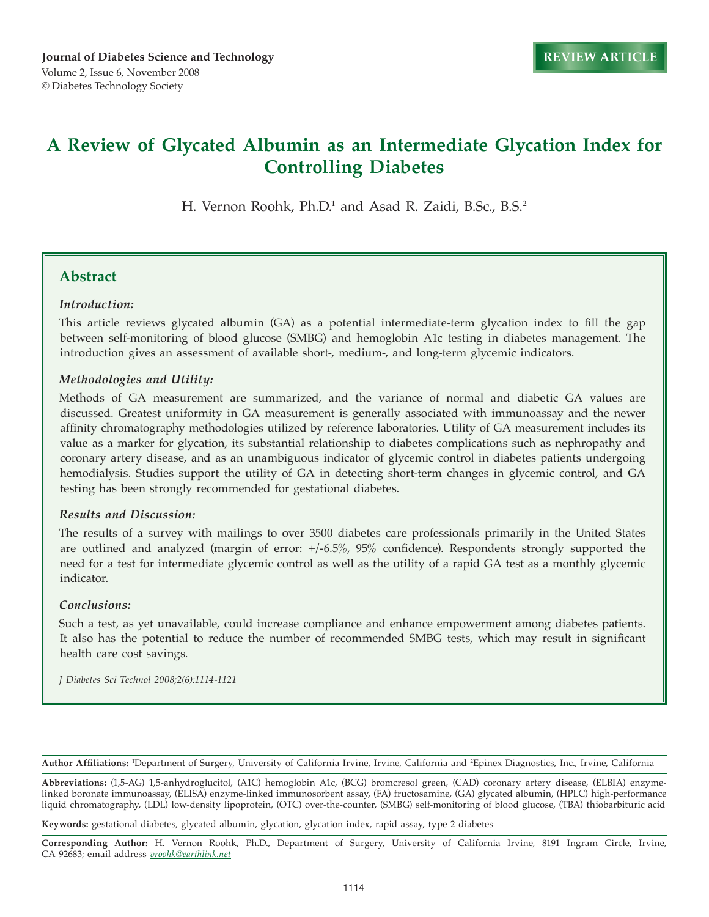# **A Review of Glycated Albumin as an Intermediate Glycation Index for Controlling Diabetes**

H. Vernon Roohk, Ph.D.<sup>1</sup> and Asad R. Zaidi, B.Sc., B.S.<sup>2</sup>

### **Abstract**

#### *Introduction:*

This article reviews glycated albumin (GA) as a potential intermediate-term glycation index to fill the gap between self-monitoring of blood glucose (SMBG) and hemoglobin A1c testing in diabetes management. The introduction gives an assessment of available short-, medium-, and long-term glycemic indicators.

### *Methodologies and Utility:*

Methods of GA measurement are summarized, and the variance of normal and diabetic GA values are discussed. Greatest uniformity in GA measurement is generally associated with immunoassay and the newer affinity chromatography methodologies utilized by reference laboratories. Utility of GA measurement includes its value as a marker for glycation, its substantial relationship to diabetes complications such as nephropathy and coronary artery disease, and as an unambiguous indicator of glycemic control in diabetes patients undergoing hemodialysis. Studies support the utility of GA in detecting short-term changes in glycemic control, and GA testing has been strongly recommended for gestational diabetes.

#### *Results and Discussion:*

The results of a survey with mailings to over 3500 diabetes care professionals primarily in the United States are outlined and analyzed (margin of error: +/-6.5%, 95% confidence). Respondents strongly supported the need for a test for intermediate glycemic control as well as the utility of a rapid GA test as a monthly glycemic indicator.

#### *Conclusions:*

Such a test, as yet unavailable, could increase compliance and enhance empowerment among diabetes patients. It also has the potential to reduce the number of recommended SMBG tests, which may result in significant health care cost savings.

*J Diabetes Sci Technol 2008;2(6):1114-1121*

**Author Affiliations:** <sup>1</sup> Department of Surgery, University of California Irvine, Irvine, California and 2 Epinex Diagnostics, Inc., Irvine, California

**Abbreviations:** (1,5-AG) 1,5-anhydroglucitol, (A1C) hemoglobin A1c, (BCG) bromcresol green, (CAD) coronary artery disease, (ELBIA) enzymelinked boronate immunoassay, (ELISA) enzyme-linked immunosorbent assay, (FA) fructosamine, (GA) glycated albumin, (HPLC) high-performance liquid chromatography, (LDL) low-density lipoprotein, (OTC) over-the-counter, (SMBG) self-monitoring of blood glucose, (TBA) thiobarbituric acid

**Keywords:** gestational diabetes, glycated albumin, glycation, glycation index, rapid assay, type 2 diabetes

**Corresponding Author:** H. Vernon Roohk, Ph.D., Department of Surgery, University of California Irvine, 8191 Ingram Circle, Irvine, CA 92683; email address *vroohk@earthlink.net*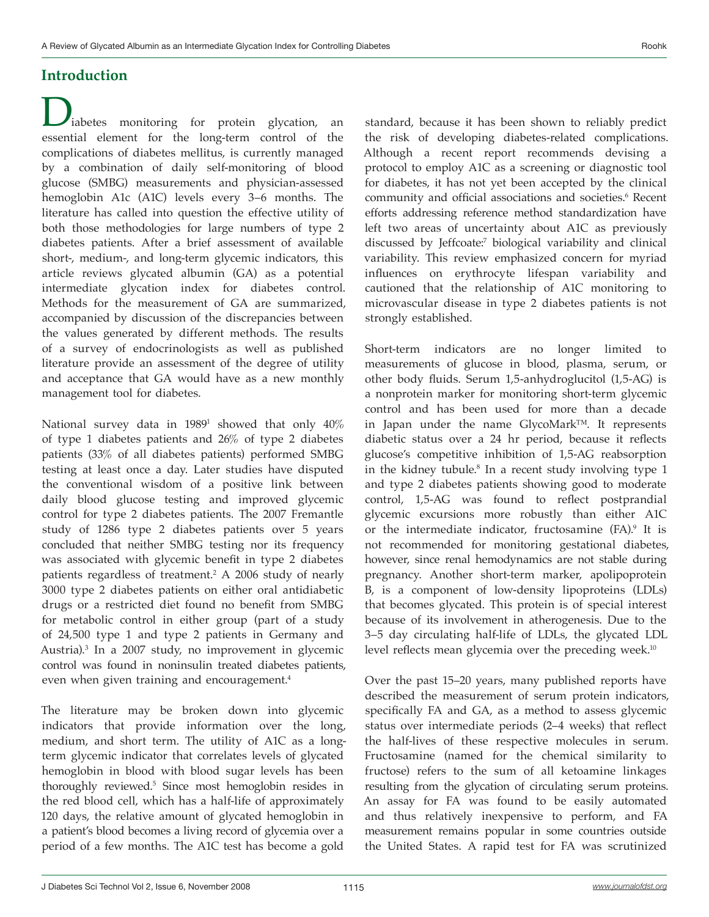# **Introduction**

iabetes monitoring for protein glycation, an essential element for the long-term control of the complications of diabetes mellitus, is currently managed by a combination of daily self-monitoring of blood glucose (SMBG) measurements and physician-assessed hemoglobin A1c (A1C) levels every 3–6 months. The literature has called into question the effective utility of both those methodologies for large numbers of type 2 diabetes patients. After a brief assessment of available short-, medium-, and long-term glycemic indicators, this article reviews glycated albumin (GA) as a potential intermediate glycation index for diabetes control. Methods for the measurement of GA are summarized, accompanied by discussion of the discrepancies between the values generated by different methods. The results of a survey of endocrinologists as well as published literature provide an assessment of the degree of utility and acceptance that GA would have as a new monthly management tool for diabetes.

National survey data in 19891 showed that only 40% of type 1 diabetes patients and 26% of type 2 diabetes patients (33% of all diabetes patients) performed SMBG testing at least once a day. Later studies have disputed the conventional wisdom of a positive link between daily blood glucose testing and improved glycemic control for type 2 diabetes patients. The 2007 Fremantle study of 1286 type 2 diabetes patients over 5 years concluded that neither SMBG testing nor its frequency was associated with glycemic benefit in type 2 diabetes patients regardless of treatment.2 A 2006 study of nearly 3000 type 2 diabetes patients on either oral antidiabetic drugs or a restricted diet found no benefit from SMBG for metabolic control in either group (part of a study of 24,500 type 1 and type 2 patients in Germany and Austria).3 In a 2007 study, no improvement in glycemic control was found in noninsulin treated diabetes patients, even when given training and encouragement.<sup>4</sup>

The literature may be broken down into glycemic indicators that provide information over the long, medium, and short term. The utility of A1C as a longterm glycemic indicator that correlates levels of glycated hemoglobin in blood with blood sugar levels has been thoroughly reviewed.5 Since most hemoglobin resides in the red blood cell, which has a half-life of approximately 120 days, the relative amount of glycated hemoglobin in a patient's blood becomes a living record of glycemia over a period of a few months. The A1C test has become a gold

standard, because it has been shown to reliably predict the risk of developing diabetes-related complications. Although a recent report recommends devising a protocol to employ A1C as a screening or diagnostic tool for diabetes, it has not yet been accepted by the clinical community and official associations and societies.<sup>6</sup> Recent efforts addressing reference method standardization have left two areas of uncertainty about A1C as previously discussed by Jeffcoate:7 biological variability and clinical variability. This review emphasized concern for myriad influences on erythrocyte lifespan variability and cautioned that the relationship of A1C monitoring to microvascular disease in type 2 diabetes patients is not strongly established.

Short-term indicators are no longer limited to measurements of glucose in blood, plasma, serum, or other body fluids. Serum 1,5-anhydroglucitol (1,5-AG) is a nonprotein marker for monitoring short-term glycemic control and has been used for more than a decade in Japan under the name GlycoMark™. It represents diabetic status over a 24 hr period, because it reflects glucose's competitive inhibition of 1,5-AG reabsorption in the kidney tubule.8 In a recent study involving type 1 and type 2 diabetes patients showing good to moderate control, 1,5-AG was found to reflect postprandial glycemic excursions more robustly than either A1C or the intermediate indicator, fructosamine (FA).9 It is not recommended for monitoring gestational diabetes, however, since renal hemodynamics are not stable during pregnancy. Another short-term marker, apolipoprotein B, is a component of low-density lipoproteins (LDLs) that becomes glycated. This protein is of special interest because of its involvement in atherogenesis. Due to the 3–5 day circulating half-life of LDLs, the glycated LDL level reflects mean glycemia over the preceding week.<sup>10</sup>

Over the past 15–20 years, many published reports have described the measurement of serum protein indicators, specifically FA and GA, as a method to assess glycemic status over intermediate periods (2–4 weeks) that reflect the half-lives of these respective molecules in serum. Fructosamine (named for the chemical similarity to fructose) refers to the sum of all ketoamine linkages resulting from the glycation of circulating serum proteins. An assay for FA was found to be easily automated and thus relatively inexpensive to perform, and FA measurement remains popular in some countries outside the United States. A rapid test for FA was scrutinized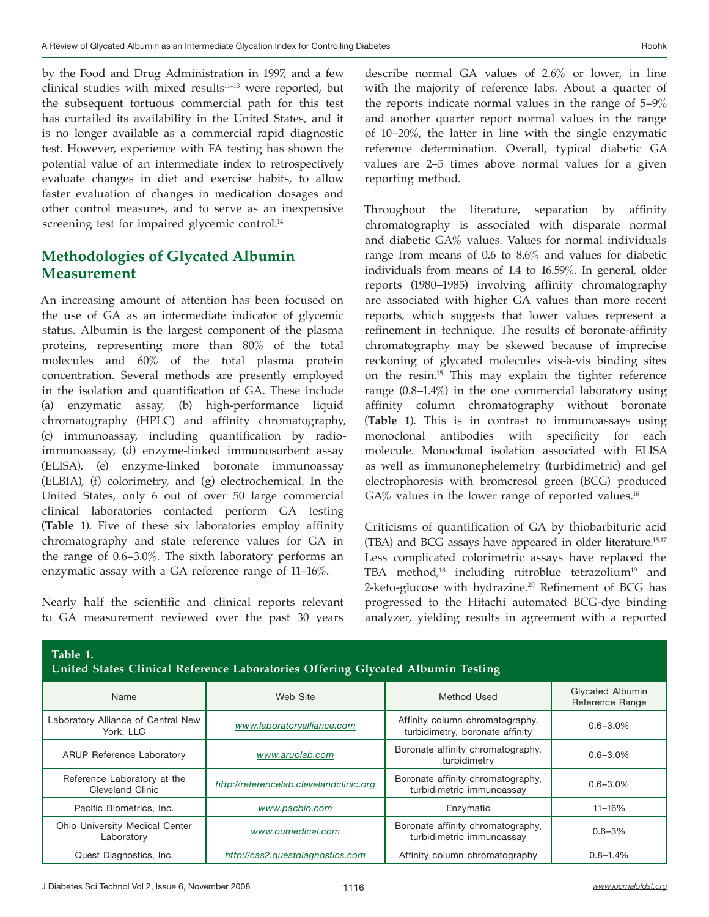by the Food and Drug Administration in 1997, and a few clinical studies with mixed results<sup>11-13</sup> were reported, but the subsequent tortuous commercial path for this test has curtailed its availability in the United States, and it is no longer available as a commercial rapid diagnostic test. However, experience with FA testing has shown the potential value of an intermediate index to retrospectively evaluate changes in diet and exercise habits, to allow faster evaluation of changes in medication dosages and other control measures, and to serve as an inexpensive screening test for impaired glycemic control.<sup>14</sup>

## **Methodologies of Glycated Albumin Measurement**

An increasing amount of attention has been focused on the use of GA as an intermediate indicator of glycemic status. Albumin is the largest component of the plasma proteins, representing more than 80% of the total molecules and 60% of the total plasma protein concentration. Several methods are presently employed in the isolation and quantification of GA. These include (a) enzymatic assay, (b) high-performance liquid chromatography (HPLC) and affinity chromatography, (c) immunoassay, including quantification by radioimmunoassay, (d) enzyme-linked immunosorbent assay (ELISA), (e) enzyme-linked boronate immunoassay (ELBIA), (f) colorimetry, and (g) electrochemical. In the United States, only 6 out of over 50 large commercial clinical laboratories contacted perform GA testing (**Table 1**). Five of these six laboratories employ affinity chromatography and state reference values for GA in the range of 0.6–3.0%. The sixth laboratory performs an enzymatic assay with a GA reference range of 11–16%.

Nearly half the scientific and clinical reports relevant to GA measurement reviewed over the past 30 years describe normal GA values of 2.6% or lower, in line with the majority of reference labs. About a quarter of the reports indicate normal values in the range of 5–9% and another quarter report normal values in the range of 10–20%, the latter in line with the single enzymatic reference determination. Overall, typical diabetic GA values are 2–5 times above normal values for a given reporting method.

Throughout the literature, separation by affinity chromatography is associated with disparate normal and diabetic GA% values. Values for normal individuals range from means of 0.6 to 8.6% and values for diabetic individuals from means of 1.4 to 16.59%. In general, older reports (1980–1985) involving affinity chromatography are associated with higher GA values than more recent reports, which suggests that lower values represent a refinement in technique. The results of boronate-affinity chromatography may be skewed because of imprecise reckoning of glycated molecules vis-à-vis binding sites on the resin.15 This may explain the tighter reference range (0.8–1.4%) in the one commercial laboratory using affinity column chromatography without boronate (**Table 1**). This is in contrast to immunoassays using monoclonal antibodies with specificity for each molecule. Monoclonal isolation associated with ELISA as well as immunonephelemetry (turbidimetric) and gel electrophoresis with bromcresol green (BCG) produced GA% values in the lower range of reported values.<sup>16</sup>

Criticisms of quantification of GA by thiobarbituric acid (TBA) and BCG assays have appeared in older literature.15,17 Less complicated colorimetric assays have replaced the TBA method,<sup>18</sup> including nitroblue tetrazolium<sup>19</sup> and 2-keto-glucose with hydrazine.<sup>20</sup> Refinement of BCG has progressed to the Hitachi automated BCG-dye binding analyzer, yielding results in agreement with a reported

| Table 1.<br>United States Clinical Reference Laboratories Offering Glycated Albumin Testing |                                         |                                                                    |                                     |
|---------------------------------------------------------------------------------------------|-----------------------------------------|--------------------------------------------------------------------|-------------------------------------|
| Name                                                                                        | Web Site                                | Method Used                                                        | Glycated Albumin<br>Reference Range |
| Laboratory Alliance of Central New<br>York, LLC                                             | www.laboratoryalliance.com              | Affinity column chromatography,<br>turbidimetry, boronate affinity | $0.6 - 3.0\%$                       |
| ARUP Reference Laboratory                                                                   | www.aruplab.com                         | Boronate affinity chromatography,<br>turbidimetry                  | $0.6 - 3.0\%$                       |
| Reference Laboratory at the<br>Cleveland Clinic                                             | http://referencelab.clevelandclinic.org | Boronate affinity chromatography,<br>turbidimetric immunoassay     | $0.6 - 3.0\%$                       |
| Pacific Biometrics, Inc.                                                                    | www.pacbio.com                          | Enzymatic                                                          | 11-16%                              |
| Ohio University Medical Center<br>Laboratory                                                | www.oumedical.com                       | Boronate affinity chromatography,<br>turbidimetric immunoassay     | $0.6 - 3%$                          |
| Quest Diagnostics, Inc.                                                                     | http://cas2.questdiagnostics.com        | Affinity column chromatography                                     | $0.8 - 1.4%$                        |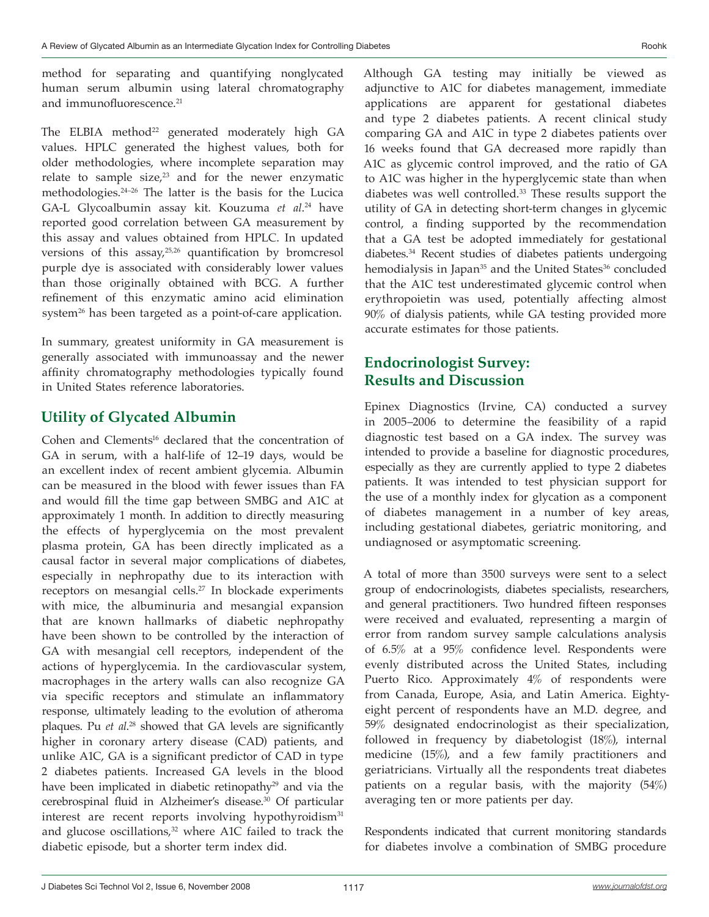method for separating and quantifying nonglycated human serum albumin using lateral chromatography and immunofluorescence.<sup>21</sup>

The ELBIA method<sup>22</sup> generated moderately high GA values. HPLC generated the highest values, both for older methodologies, where incomplete separation may relate to sample  $size<sub>1</sub><sup>23</sup>$  and for the newer enzymatic methodologies.24–26 The latter is the basis for the Lucica GA-L Glycoalbumin assay kit. Kouzuma *et al*. 24 have reported good correlation between GA measurement by this assay and values obtained from HPLC. In updated versions of this assay,<sup>25,26</sup> quantification by bromcresol purple dye is associated with considerably lower values than those originally obtained with BCG. A further refinement of this enzymatic amino acid elimination system<sup>26</sup> has been targeted as a point-of-care application.

In summary, greatest uniformity in GA measurement is generally associated with immunoassay and the newer affinity chromatography methodologies typically found in United States reference laboratories.

# **Utility of Glycated Albumin**

Cohen and Clements<sup>16</sup> declared that the concentration of GA in serum, with a half-life of 12–19 days, would be an excellent index of recent ambient glycemia. Albumin can be measured in the blood with fewer issues than FA and would fill the time gap between SMBG and A1C at approximately 1 month. In addition to directly measuring the effects of hyperglycemia on the most prevalent plasma protein, GA has been directly implicated as a causal factor in several major complications of diabetes, especially in nephropathy due to its interaction with receptors on mesangial cells.<sup>27</sup> In blockade experiments with mice, the albuminuria and mesangial expansion that are known hallmarks of diabetic nephropathy have been shown to be controlled by the interaction of GA with mesangial cell receptors, independent of the actions of hyperglycemia. In the cardiovascular system, macrophages in the artery walls can also recognize GA via specific receptors and stimulate an inflammatory response, ultimately leading to the evolution of atheroma plaques. Pu *et al*. <sup>28</sup> showed that GA levels are significantly higher in coronary artery disease (CAD) patients, and unlike A1C, GA is a significant predictor of CAD in type 2 diabetes patients. Increased GA levels in the blood have been implicated in diabetic retinopathy<sup>29</sup> and via the cerebrospinal fluid in Alzheimer's disease.<sup>30</sup> Of particular interest are recent reports involving hypothyroidism<sup>31</sup> and glucose oscillations, $32$  where A1C failed to track the diabetic episode, but a shorter term index did.

Although GA testing may initially be viewed as adjunctive to A1C for diabetes management, immediate applications are apparent for gestational diabetes and type 2 diabetes patients. A recent clinical study comparing GA and A1C in type 2 diabetes patients over 16 weeks found that GA decreased more rapidly than A1C as glycemic control improved, and the ratio of GA to A1C was higher in the hyperglycemic state than when diabetes was well controlled.33 These results support the utility of GA in detecting short-term changes in glycemic control, a finding supported by the recommendation that a GA test be adopted immediately for gestational diabetes.34 Recent studies of diabetes patients undergoing hemodialysis in Japan<sup>35</sup> and the United States<sup>36</sup> concluded that the A1C test underestimated glycemic control when erythropoietin was used, potentially affecting almost 90% of dialysis patients, while GA testing provided more accurate estimates for those patients.

# **Endocrinologist Survey: Results and Discussion**

Epinex Diagnostics (Irvine, CA) conducted a survey in 2005–2006 to determine the feasibility of a rapid diagnostic test based on a GA index. The survey was intended to provide a baseline for diagnostic procedures, especially as they are currently applied to type 2 diabetes patients. It was intended to test physician support for the use of a monthly index for glycation as a component of diabetes management in a number of key areas, including gestational diabetes, geriatric monitoring, and undiagnosed or asymptomatic screening.

A total of more than 3500 surveys were sent to a select group of endocrinologists, diabetes specialists, researchers, and general practitioners. Two hundred fifteen responses were received and evaluated, representing a margin of error from random survey sample calculations analysis of 6.5% at a 95% confidence level. Respondents were evenly distributed across the United States, including Puerto Rico. Approximately  $4\%$  of respondents were from Canada, Europe, Asia, and Latin America. Eightyeight percent of respondents have an M.D. degree, and 59% designated endocrinologist as their specialization, followed in frequency by diabetologist (18%), internal medicine (15%), and a few family practitioners and geriatricians. Virtually all the respondents treat diabetes patients on a regular basis, with the majority (54%) averaging ten or more patients per day.

Respondents indicated that current monitoring standards for diabetes involve a combination of SMBG procedure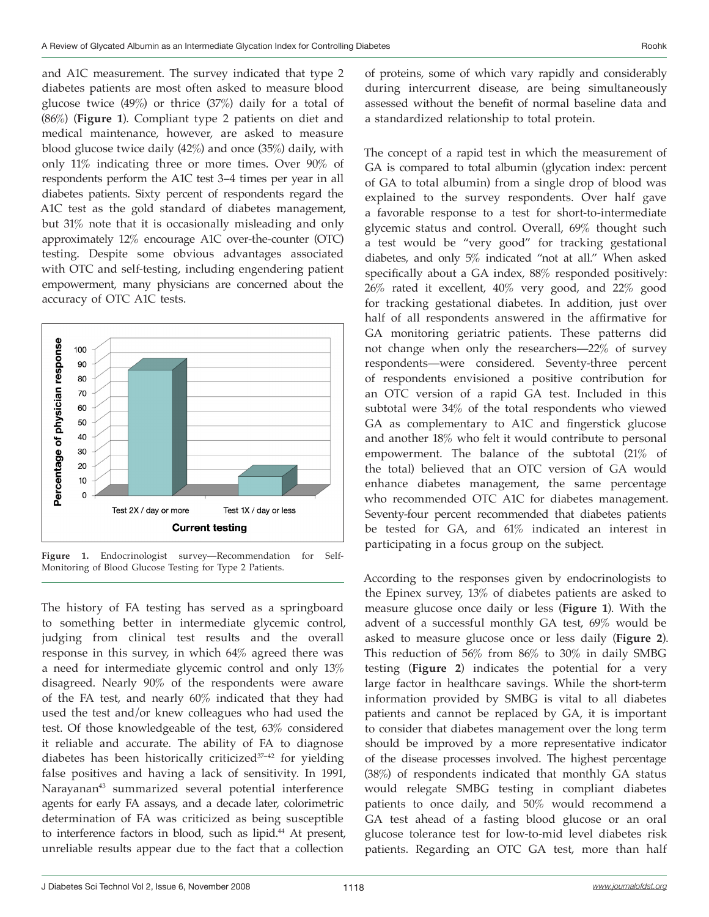and A1C measurement. The survey indicated that type 2 diabetes patients are most often asked to measure blood glucose twice (49%) or thrice (37%) daily for a total of (86%) (**Figure 1**). Compliant type 2 patients on diet and medical maintenance, however, are asked to measure blood glucose twice daily (42%) and once (35%) daily, with only 11% indicating three or more times. Over 90% of respondents perform the A1C test 3–4 times per year in all diabetes patients. Sixty percent of respondents regard the A1C test as the gold standard of diabetes management, but 31% note that it is occasionally misleading and only approximately 12% encourage A1C over-the-counter (OTC) testing. Despite some obvious advantages associated with OTC and self-testing, including engendering patient empowerment, many physicians are concerned about the accuracy of OTC A1C tests.



**Figure 1.** Endocrinologist survey—Recommendation for Self-Monitoring of Blood Glucose Testing for Type 2 Patients.

The history of FA testing has served as a springboard to something better in intermediate glycemic control, judging from clinical test results and the overall response in this survey, in which 64% agreed there was a need for intermediate glycemic control and only 13% disagreed. Nearly 90% of the respondents were aware of the FA test, and nearly 60% indicated that they had used the test and/or knew colleagues who had used the test. Of those knowledgeable of the test, 63% considered it reliable and accurate. The ability of FA to diagnose diabetes has been historically criticized $37-42$  for yielding false positives and having a lack of sensitivity. In 1991, Narayanan43 summarized several potential interference agents for early FA assays, and a decade later, colorimetric determination of FA was criticized as being susceptible to interference factors in blood, such as lipid.<sup>44</sup> At present, unreliable results appear due to the fact that a collection

of proteins, some of which vary rapidly and considerably during intercurrent disease, are being simultaneously assessed without the benefit of normal baseline data and a standardized relationship to total protein.

The concept of a rapid test in which the measurement of GA is compared to total albumin (glycation index: percent of GA to total albumin) from a single drop of blood was explained to the survey respondents. Over half gave a favorable response to a test for short-to-intermediate glycemic status and control. Overall, 69% thought such a test would be "very good" for tracking gestational diabetes, and only 5% indicated "not at all." When asked specifically about a GA index, 88% responded positively: 26% rated it excellent, 40% very good, and 22% good for tracking gestational diabetes. In addition, just over half of all respondents answered in the affirmative for GA monitoring geriatric patients. These patterns did not change when only the researchers—22% of survey respondents—were considered. Seventy-three percent of respondents envisioned a positive contribution for an OTC version of a rapid GA test. Included in this subtotal were 34% of the total respondents who viewed GA as complementary to A1C and fingerstick glucose and another 18% who felt it would contribute to personal empowerment. The balance of the subtotal (21% of the total) believed that an OTC version of GA would enhance diabetes management, the same percentage who recommended OTC A1C for diabetes management. Seventy-four percent recommended that diabetes patients be tested for GA, and 61% indicated an interest in participating in a focus group on the subject.

According to the responses given by endocrinologists to the Epinex survey, 13% of diabetes patients are asked to measure glucose once daily or less (**Figure 1**). With the advent of a successful monthly GA test, 69% would be asked to measure glucose once or less daily (**Figure 2**). This reduction of 56% from 86% to 30% in daily SMBG testing (**Figure 2**) indicates the potential for a very large factor in healthcare savings. While the short-term information provided by SMBG is vital to all diabetes patients and cannot be replaced by GA, it is important to consider that diabetes management over the long term should be improved by a more representative indicator of the disease processes involved. The highest percentage (38%) of respondents indicated that monthly GA status would relegate SMBG testing in compliant diabetes patients to once daily, and 50% would recommend a GA test ahead of a fasting blood glucose or an oral glucose tolerance test for low-to-mid level diabetes risk patients. Regarding an OTC GA test, more than half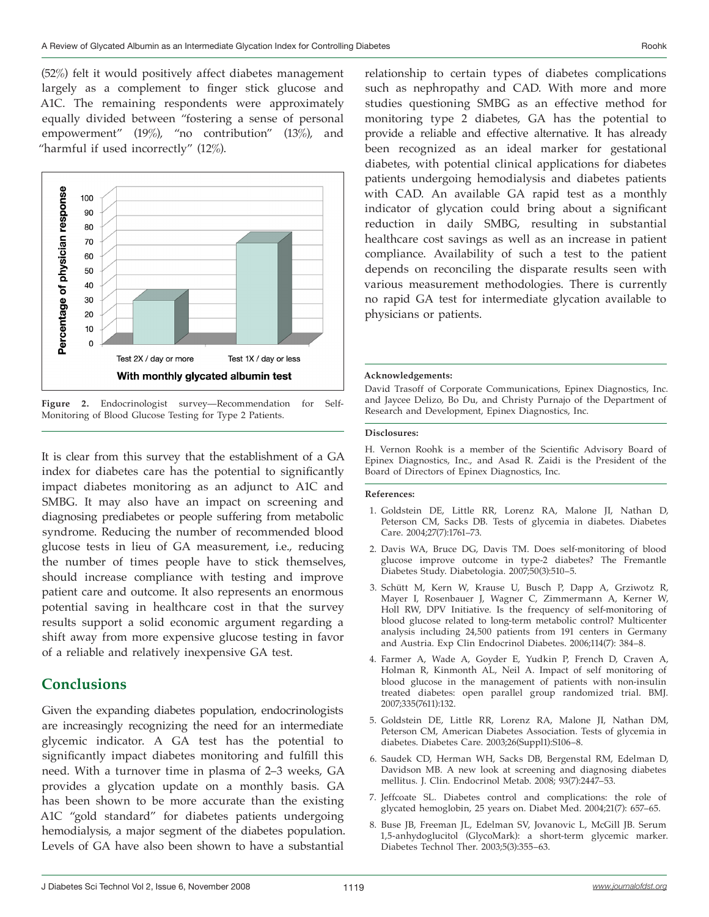(52%) felt it would positively affect diabetes management largely as a complement to finger stick glucose and A1C. The remaining respondents were approximately equally divided between "fostering a sense of personal empowerment" (19%), "no contribution" (13%), and "harmful if used incorrectly" (12%).



**Figure 2.** Endocrinologist survey—Recommendation for Self-Monitoring of Blood Glucose Testing for Type 2 Patients.

It is clear from this survey that the establishment of a GA index for diabetes care has the potential to significantly impact diabetes monitoring as an adjunct to A1C and SMBG. It may also have an impact on screening and diagnosing prediabetes or people suffering from metabolic syndrome. Reducing the number of recommended blood glucose tests in lieu of GA measurement, i.e., reducing the number of times people have to stick themselves, should increase compliance with testing and improve patient care and outcome. It also represents an enormous potential saving in healthcare cost in that the survey results support a solid economic argument regarding a shift away from more expensive glucose testing in favor of a reliable and relatively inexpensive GA test.

### **Conclusions**

Given the expanding diabetes population, endocrinologists are increasingly recognizing the need for an intermediate glycemic indicator. A GA test has the potential to significantly impact diabetes monitoring and fulfill this need. With a turnover time in plasma of 2–3 weeks, GA provides a glycation update on a monthly basis. GA has been shown to be more accurate than the existing A1C "gold standard" for diabetes patients undergoing hemodialysis, a major segment of the diabetes population. Levels of GA have also been shown to have a substantial

relationship to certain types of diabetes complications such as nephropathy and CAD. With more and more studies questioning SMBG as an effective method for monitoring type 2 diabetes, GA has the potential to provide a reliable and effective alternative. It has already been recognized as an ideal marker for gestational diabetes, with potential clinical applications for diabetes patients undergoing hemodialysis and diabetes patients with CAD. An available GA rapid test as a monthly indicator of glycation could bring about a significant reduction in daily SMBG, resulting in substantial healthcare cost savings as well as an increase in patient compliance. Availability of such a test to the patient depends on reconciling the disparate results seen with various measurement methodologies. There is currently no rapid GA test for intermediate glycation available to physicians or patients.

#### **Acknowledgements:**

David Trasoff of Corporate Communications, Epinex Diagnostics, Inc. and Jaycee Delizo, Bo Du, and Christy Purnajo of the Department of Research and Development, Epinex Diagnostics, Inc.

#### **Disclosures:**

H. Vernon Roohk is a member of the Scientific Advisory Board of Epinex Diagnostics, Inc., and Asad R. Zaidi is the President of the Board of Directors of Epinex Diagnostics, Inc.

#### **References:**

- Goldstein DE, Little RR, Lorenz RA, Malone JI, Nathan D, 1. Peterson CM, Sacks DB. Tests of glycemia in diabetes. Diabetes Care. 2004;27(7):1761–73.
- 2. Davis WA, Bruce DG, Davis TM. Does self-monitoring of blood glucose improve outcome in type-2 diabetes? The Fremantle Diabetes Study. Diabetologia. 2007;50(3):510–5.
- Schütt M, Kern W, Krause U, Busch P, Dapp A, Grziwotz R, 3. Mayer I, Rosenbauer J, Wagner C, Zimmermann A, Kerner W, Holl RW, DPV Initiative. Is the frequency of self-monitoring of blood glucose related to long-term metabolic control? Multicenter analysis including 24,500 patients from 191 centers in Germany and Austria. Exp Clin Endocrinol Diabetes. 2006;114(7): 384–8.
- Farmer A, Wade A, Goyder E, Yudkin P, French D, Craven A, 4. Holman R, Kinmonth AL, Neil A. Impact of self monitoring of blood glucose in the management of patients with non-insulin treated diabetes: open parallel group randomized trial. BMJ. 2007;335(7611):132.
- 5. Goldstein DE, Little RR, Lorenz RA, Malone JI, Nathan DM, Peterson CM, American Diabetes Association. Tests of glycemia in diabetes. Diabetes Care. 2003;26(Suppl1):S106–8.
- 6. Saudek CD, Herman WH, Sacks DB, Bergenstal RM, Edelman D, Davidson MB. A new look at screening and diagnosing diabetes mellitus. J. Clin. Endocrinol Metab. 2008; 93(7):2447–53.
- 7. Jeffcoate SL. Diabetes control and complications: the role of glycated hemoglobin, 25 years on. Diabet Med. 2004;21(7): 657–65.
- Buse JB, Freeman JL, Edelman SV, Jovanovic L, McGill JB. Serum 8. 1,5-anhydoglucitol (GlycoMark): a short-term glycemic marker. Diabetes Technol Ther. 2003;5(3):355–63.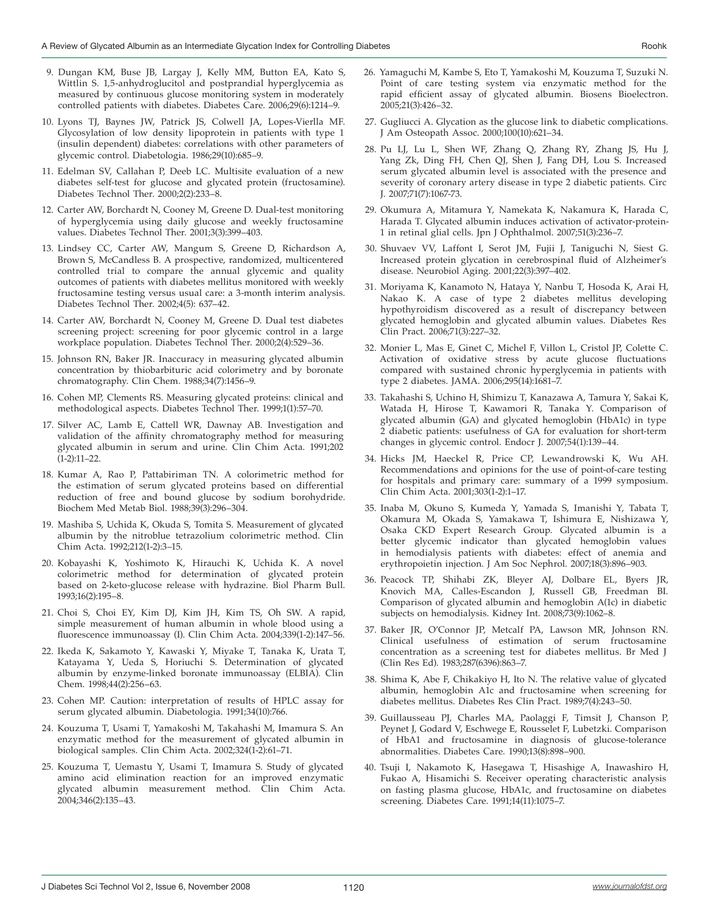- Dungan KM, Buse JB, Largay J, Kelly MM, Button EA, Kato S, 9. Wittlin S. 1,5-anhydroglucitol and postprandial hyperglycemia as measured by continuous glucose monitoring system in moderately controlled patients with diabetes. Diabetes Care. 2006;29(6):1214–9.
- Lyons TJ, Baynes JW, Patrick JS, Colwell JA, Lopes-Vierlla MF. 10. Glycosylation of low density lipoprotein in patients with type 1 (insulin dependent) diabetes: correlations with other parameters of glycemic control. Diabetologia. 1986;29(10):685–9.
- Edelman SV, Callahan P, Deeb LC. Multisite evaluation of a new 11. diabetes self-test for glucose and glycated protein (fructosamine). Diabetes Technol Ther. 2000;2(2):233–8.
- 12. Carter AW, Borchardt N, Cooney M, Greene D. Dual-test monitoring of hyperglycemia using daily glucose and weekly fructosamine values. Diabetes Technol Ther. 2001;3(3):399–403.
- Lindsey CC, Carter AW, Mangum S, Greene D, Richardson A, 13. Brown S, McCandless B. A prospective, randomized, multicentered controlled trial to compare the annual glycemic and quality outcomes of patients with diabetes mellitus monitored with weekly fructosamine testing versus usual care: a 3-month interim analysis. Diabetes Technol Ther. 2002;4(5): 637–42.
- 14. Carter AW, Borchardt N, Cooney M, Greene D. Dual test diabetes screening project: screening for poor glycemic control in a large workplace population. Diabetes Technol Ther. 2000;2(4):529–36.
- 15. Johnson RN, Baker JR. Inaccuracy in measuring glycated albumin concentration by thiobarbituric acid colorimetry and by boronate chromatography. Clin Chem. 1988;34(7):1456–9.
- 16. Cohen MP, Clements RS. Measuring glycated proteins: clinical and methodological aspects. Diabetes Technol Ther. 1999;1(1):57–70.
- 17. Silver AC, Lamb E, Cattell WR, Dawnay AB. Investigation and validation of the affinity chromatography method for measuring glycated albumin in serum and urine. Clin Chim Acta. 1991;202 (1-2):11–22.
- 18. Kumar A, Rao P, Pattabiriman TN. A colorimetric method for the estimation of serum glycated proteins based on differential reduction of free and bound glucose by sodium borohydride. Biochem Med Metab Biol. 1988;39(3):296–304.
- Mashiba S, Uchida K, Okuda S, Tomita S. Measurement of glycated 19. albumin by the nitroblue tetrazolium colorimetric method. Clin Chim Acta. 1992;212(1-2):3–15.
- 20. Kobayashi K, Yoshimoto K, Hirauchi K, Uchida K. A novel colorimetric method for determination of glycated protein based on 2-keto-glucose release with hydrazine. Biol Pharm Bull. 1993;16(2):195–8.
- 21. Choi S, Choi EY, Kim DJ, Kim JH, Kim TS, Oh SW. A rapid, simple measurement of human albumin in whole blood using a fluorescence immunoassay (I). Clin Chim Acta. 2004;339(1-2):147–56.
- 22. Ikeda K, Sakamoto Y, Kawaski Y, Miyake T, Tanaka K, Urata T, Katayama Y, Ueda S, Horiuchi S. Determination of glycated albumin by enzyme-linked boronate immunoassay (ELBIA). Clin Chem. 1998;44(2):256–63.
- 23. Cohen MP. Caution: interpretation of results of HPLC assay for serum glycated albumin. Diabetologia. 1991;34(10):766.
- 24. Kouzuma T, Usami T, Yamakoshi M, Takahashi M, Imamura S. An enzymatic method for the measurement of glycated albumin in biological samples. Clin Chim Acta. 2002;324(1-2):61–71.
- 25. Kouzuma T, Uemastu Y, Usami T, Imamura S. Study of glycated amino acid elimination reaction for an improved enzymatic glycated albumin measurement method. Clin Chim Acta. 2004;346(2):135–43.
- 26. Yamaguchi M, Kambe S, Eto T, Yamakoshi M, Kouzuma T, Suzuki N. Point of care testing system via enzymatic method for the rapid efficient assay of glycated albumin. Biosens Bioelectron. 2005;21(3):426–32.
- 27. Gugliucci A. Glycation as the glucose link to diabetic complications. J Am Osteopath Assoc. 2000;100(10):621–34.
- 28. Pu LJ, Lu L, Shen WF, Zhang Q, Zhang RY, Zhang JS, Hu J, Yang Zk, Ding FH, Chen QJ, Shen J, Fang DH, Lou S. Increased serum glycated albumin level is associated with the presence and severity of coronary artery disease in type 2 diabetic patients. Circ J. 2007;71(7):1067-73.
- Okumura A, Mitamura Y, Namekata K, Nakamura K, Harada C, 29. Harada T. Glycated albumin induces activation of activator-protein-1 in retinal glial cells. Jpn J Ophthalmol. 2007;51(3):236–7.
- Shuvaev VV, Laffont I, Serot JM, Fujii J, Taniguchi N, Siest G. 30. Increased protein glycation in cerebrospinal fluid of Alzheimer's disease. Neurobiol Aging. 2001;22(3):397–402.
- Moriyama K, Kanamoto N, Hataya Y, Nanbu T, Hosoda K, Arai H, 31. Nakao K. A case of type 2 diabetes mellitus developing hypothyroidism discovered as a result of discrepancy between glycated hemoglobin and glycated albumin values. Diabetes Res Clin Pract. 2006;71(3):227–32.
- Monier L, Mas E, Ginet C, Michel F, Villon L, Cristol JP, Colette C. 32. Activation of oxidative stress by acute glucose fluctuations compared with sustained chronic hyperglycemia in patients with type 2 diabetes. JAMA. 2006;295(14):1681–7.
- 33. Takahashi S, Uchino H, Shimizu T, Kanazawa A, Tamura Y, Sakai K, Watada H, Hirose T, Kawamori R, Tanaka Y. Comparison of glycated albumin (GA) and glycated hemoglobin (HbA1c) in type 2 diabetic patients: usefulness of GA for evaluation for short-term changes in glycemic control. Endocr J. 2007;54(1):139–44.
- 34. Hicks JM, Haeckel R, Price CP, Lewandrowski K, Wu AH. Recommendations and opinions for the use of point-of-care testing for hospitals and primary care: summary of a 1999 symposium. Clin Chim Acta. 2001;303(1-2):1–17.
- Inaba M, Okuno S, Kumeda Y, Yamada S, Imanishi Y, Tabata T, 35. Okamura M, Okada S, Yamakawa T, Ishimura E, Nishizawa Y, Osaka CKD Expert Research Group. Glycated albumin is a better glycemic indicator than glycated hemoglobin values in hemodialysis patients with diabetes: effect of anemia and erythropoietin injection. J Am Soc Nephrol. 2007;18(3):896–903.
- 36. Peacock TP, Shihabi ZK, Bleyer AJ, Dolbare EL, Byers JR, Knovich MA, Calles-Escandon J, Russell GB, Freedman BI. Comparison of glycated albumin and hemoglobin A(1c) in diabetic subjects on hemodialysis. Kidney Int. 2008;73(9):1062–8.
- 37. Baker JR, O'Connor JP, Metcalf PA, Lawson MR, Johnson RN. Clinical usefulness of estimation of serum fructosamine concentration as a screening test for diabetes mellitus. Br Med J (Clin Res Ed). 1983;287(6396):863–7.
- 38. Shima K, Abe F, Chikakiyo H, Ito N. The relative value of glycated albumin, hemoglobin A1c and fructosamine when screening for diabetes mellitus. Diabetes Res Clin Pract. 1989;7(4):243–50.
- 39. Guillausseau PJ, Charles MA, Paolaggi F, Timsit J, Chanson P, Peynet J, Godard V, Eschwege E, Rousselet F, Lubetzki. Comparison of HbA1 and fructosamine in diagnosis of glucose-tolerance abnormalities. Diabetes Care. 1990;13(8):898–900.
- Tsuji I, Nakamoto K, Hasegawa T, Hisashige A, Inawashiro H, 40.Fukao A, Hisamichi S. Receiver operating characteristic analysis on fasting plasma glucose, HbA1c, and fructosamine on diabetes screening. Diabetes Care. 1991;14(11):1075–7.